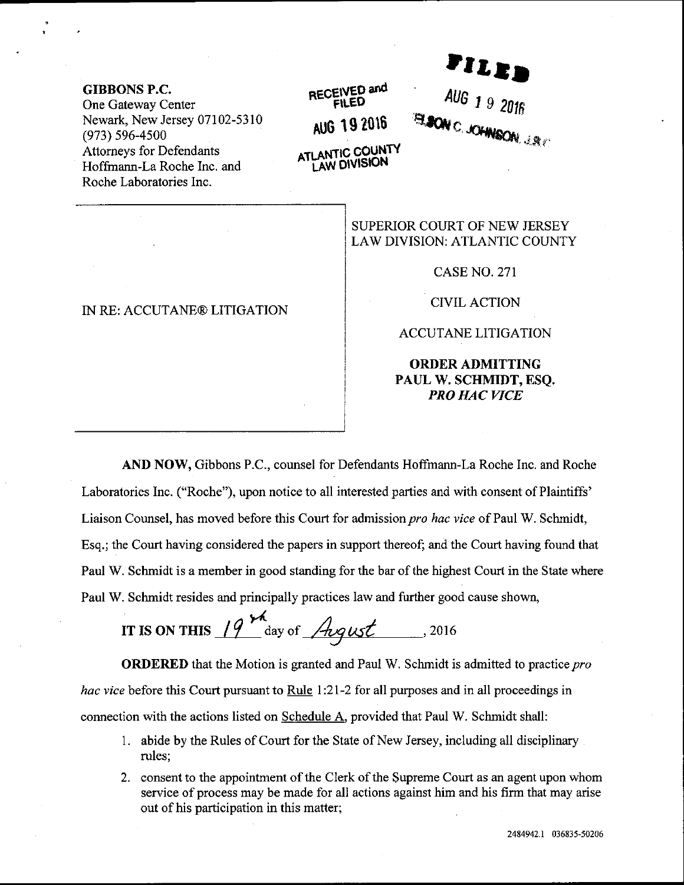**GIBBONS P.C.** One Gateway Center Newark, New Jersey 07102-5310  $(973) 596 - 4500$ **Attorneys for Defendants** Hoffmann-La Roche Inc. and Roche Laboratories Inc.

#### IN RE: ACCUTANE® LITIGATION

## RECEIVED and **FILED** AUG 19 2016 ATLANTIC COUNTY **LAW DIVISION**

### SUPERIOR COURT OF NEW JERSEY LAW DIVISION: ATLANTIC COUNTY

**CASE NO. 271** 

rile.

AUG 1 9 2016

**ELSON C. JOHNSON, J.R.C.** 

**CIVIL ACTION** 

**ACCUTANE LITIGATION** 

### **ORDER ADMITTING** PAUL W. SCHMIDT, ESO. **PRO HAC VICE**

AND NOW, Gibbons P.C., counsel for Defendants Hoffmann-La Roche Inc. and Roche Laboratories Inc. ("Roche"), upon notice to all interested parties and with consent of Plaintiffs' Liaison Counsel, has moved before this Court for admission pro hac vice of Paul W. Schmidt, Esq.; the Court having considered the papers in support thereof; and the Court having found that Paul W. Schmidt is a member in good standing for the bar of the highest Court in the State where Paul W. Schmidt resides and principally practices law and further good cause shown,

IT IS ON THIS  $19^{14}$  day of *Angust* ... 2016

**ORDERED** that the Motion is granted and Paul W. Schmidt is admitted to practice pro *hac vice* before this Court pursuant to Rule 1:21-2 for all purposes and in all proceedings in connection with the actions listed on Schedule A, provided that Paul W. Schmidt shall:

- 1. abide by the Rules of Court for the State of New Jersey, including all disciplinary rules;
- 2. consent to the appointment of the Clerk of the Supreme Court as an agent upon whom service of process may be made for all actions against him and his firm that may arise out of his participation in this matter;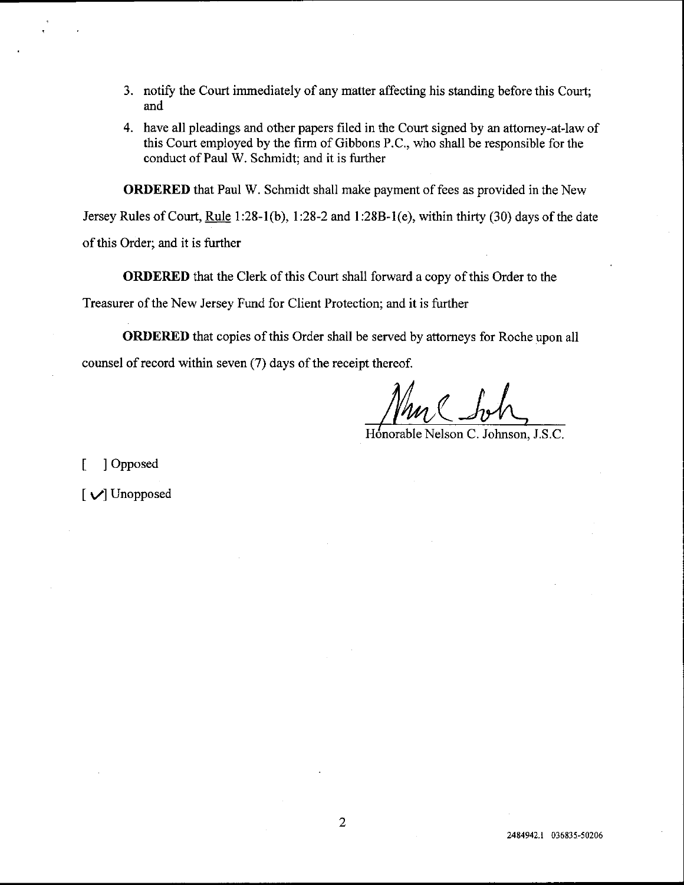- 3. notify the Court immediately of any matter affecting his standing before this Court; and
- 4. have all pleadings and other papers filed in the Court signed by an attomey-at-law of this Court employed by the firm of Gibbons P.C., who shall be responsible for the conduct of Paul W. Schmidt: and it is further

ORDERED that Paul W. Schmidt shall make payment of fees as provided in the New

Jersey Rules of Court, Rule 1:28-1(b), 1:28-2 and 1:28B-1(e), within thirty (30) days of the date

of this Order; and it is further

ORDERED that the Clerk of this Court shall forward a copy of this Order to the

Treasurer of the New Jersey Fund for Client Protection; and it is further

ORDERED that copies of this Order shall be served by attomeys for Roche upon all counsel of record within seven (7) days of the receipt thereof.

H6norable Nelson C. Johnson, J.S.C.

[ ] Opposed

[ y'] Unopposed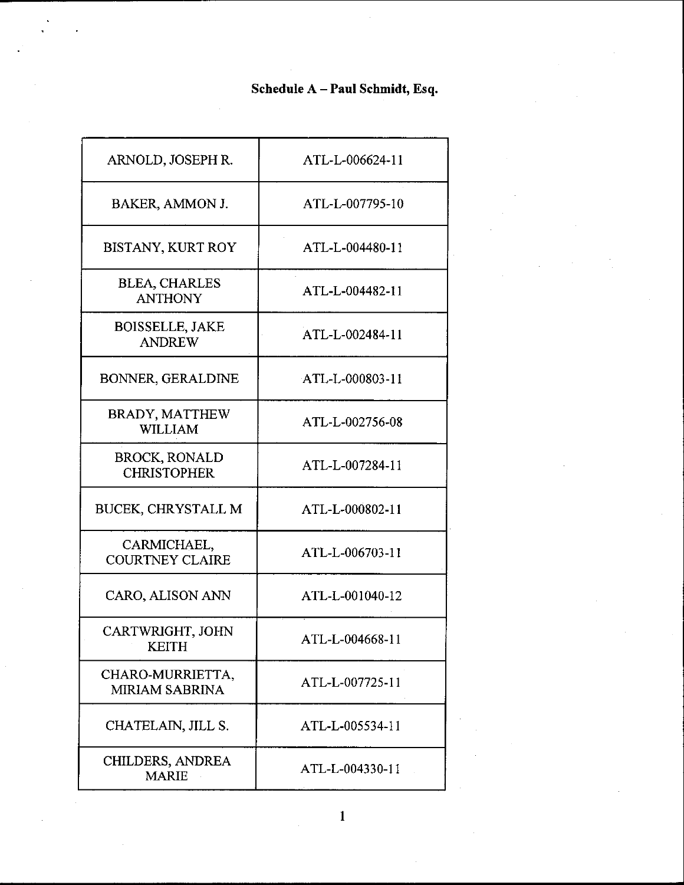# Schedule A - Paul Schmidt, Esq.

| ARNOLD, JOSEPH R.                          | ATL-L-006624-11 |
|--------------------------------------------|-----------------|
| BAKER, AMMON J.                            | ATL-L-007795-10 |
| <b>BISTANY, KURT ROY</b>                   | ATL-L-004480-11 |
| <b>BLEA, CHARLES</b><br><b>ANTHONY</b>     | ATL-L-004482-11 |
| <b>BOISSELLE, JAKE</b><br><b>ANDREW</b>    | ATL-L-002484-11 |
| <b>BONNER, GERALDINE</b>                   | ATL-L-000803-11 |
| BRADY, MATTHEW<br><b>WILLIAM</b>           | ATL-L-002756-08 |
| <b>BROCK, RONALD</b><br><b>CHRISTOPHER</b> | ATL-L-007284-11 |
| <b>BUCEK, CHRYSTALL M</b>                  | ATL-L-000802-11 |
| CARMICHAEL,<br><b>COURTNEY CLAIRE</b>      | ATL-L-006703-11 |
| CARO, ALISON ANN                           | ATL-L-001040-12 |
| CARTWRIGHT, JOHN<br><b>KEITH</b>           | ATL-L-004668-11 |
| CHARO-MURRIETTA,<br><b>MIRIAM SABRINA</b>  | ATL-L-007725-11 |
| CHATELAIN, JILL S.                         | ATL-L-005534-11 |
| CHILDERS, ANDREA<br><b>MARIE</b>           | ATL-L-004330-11 |

 $\mathbf{1}$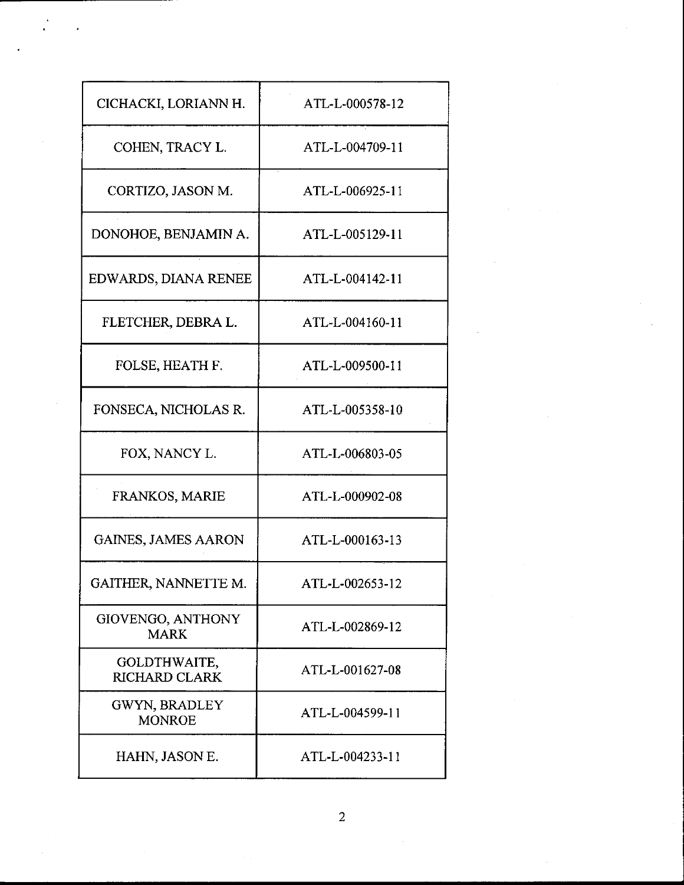| CICHACKI, LORIANN H.                  | ATL-L-000578-12 |
|---------------------------------------|-----------------|
| COHEN, TRACY L.                       | ATL-L-004709-11 |
| CORTIZO, JASON M.                     | ATL-L-006925-11 |
| DONOHOE, BENJAMIN A.                  | ATL-L-005129-11 |
| EDWARDS, DIANA RENEE                  | ATL-L-004142-11 |
| FLETCHER, DEBRA L.                    | ATL-L-004160-11 |
| FOLSE, HEATH F.                       | ATL-L-009500-11 |
| FONSECA, NICHOLAS R.                  | ATL-L-005358-10 |
| FOX, NANCY L.                         | ATL-L-006803-05 |
| FRANKOS, MARIE                        | ATL-L-000902-08 |
| <b>GAINES, JAMES AARON</b>            | ATL-L-000163-13 |
| GAITHER, NANNETTE M.                  | ATL-L-002653-12 |
| GIOVENGO, ANTHONY<br><b>MARK</b>      | ATL-L-002869-12 |
| GOLDTHWAITE,<br><b>RICHARD CLARK</b>  | ATL-L-001627-08 |
| <b>GWYN, BRADLEY</b><br><b>MONROE</b> | ATL-L-004599-11 |
| HAHN, JASON E.                        | ATL-L-004233-11 |

 $\overline{2}$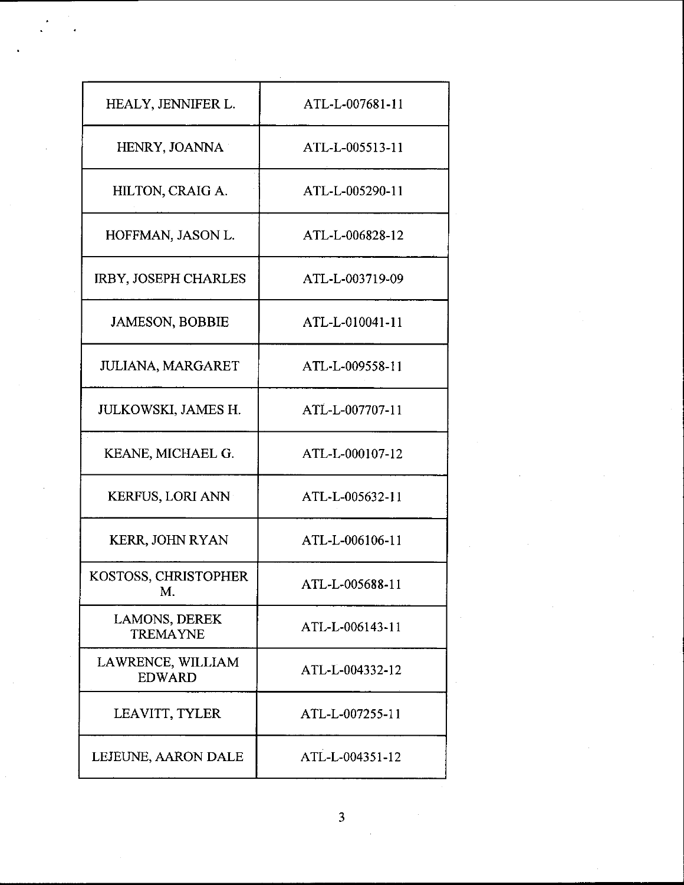| HEALY, JENNIFER L.                 | ATL-L-007681-11 |  |
|------------------------------------|-----------------|--|
| HENRY, JOANNA                      | ATL-L-005513-11 |  |
| HILTON, CRAIG A.                   | ATL-L-005290-11 |  |
| HOFFMAN, JASON L.                  | ATL-L-006828-12 |  |
| IRBY, JOSEPH CHARLES               | ATL-L-003719-09 |  |
| <b>JAMESON, BOBBIE</b>             | ATL-L-010041-11 |  |
| JULIANA, MARGARET                  | ATL-L-009558-11 |  |
| JULKOWSKI, JAMES H.                | ATL-L-007707-11 |  |
| KEANE, MICHAEL G.                  | ATL-L-000107-12 |  |
| <b>KERFUS, LORI ANN</b>            | ATL-L-005632-11 |  |
| KERR, JOHN RYAN                    | ATL-L-006106-11 |  |
| KOSTOSS, CHRISTOPHER<br>M.         | ATL-L-005688-11 |  |
| LAMONS, DEREK<br><b>TREMAYNE</b>   | ATL-L-006143-11 |  |
| LAWRENCE, WILLIAM<br><b>EDWARD</b> | ATL-L-004332-12 |  |
| LEAVITT, TYLER                     | ATL-L-007255-11 |  |
| LEJEUNE, AARON DALE                | ATL-L-004351-12 |  |

 $\overline{3}$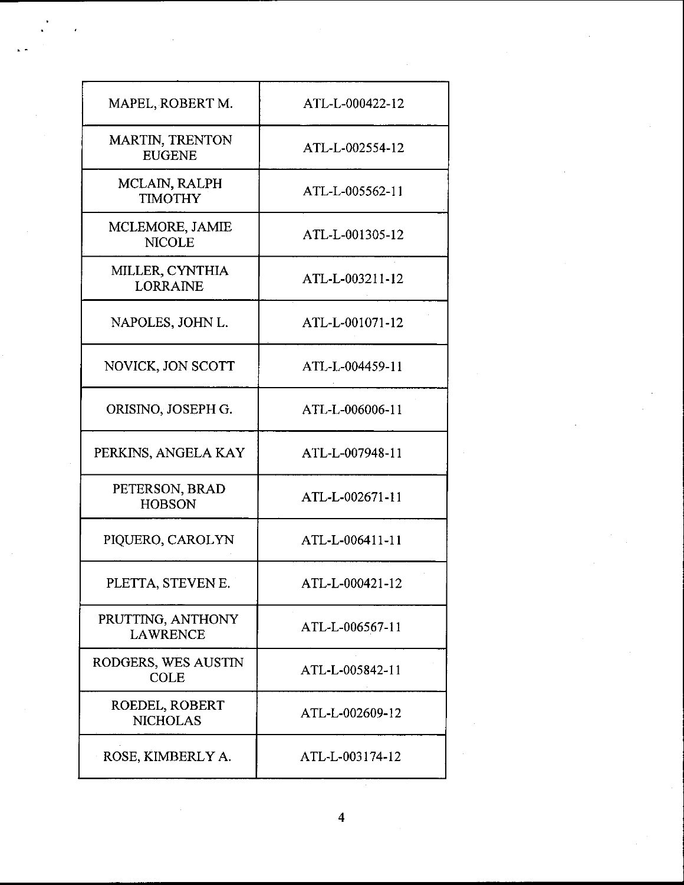| MAPEL, ROBERT M.                        | ATL-L-000422-12 |
|-----------------------------------------|-----------------|
| <b>MARTIN, TRENTON</b><br><b>EUGENE</b> | ATL-L-002554-12 |
| MCLAIN, RALPH<br><b>TIMOTHY</b>         | ATL-L-005562-11 |
| MCLEMORE, JAMIE<br><b>NICOLE</b>        | ATL-L-001305-12 |
| MILLER, CYNTHIA<br><b>LORRAINE</b>      | ATL-L-003211-12 |
| NAPOLES, JOHN L.                        | ATL-L-001071-12 |
| NOVICK, JON SCOTT                       | ATL-L-004459-11 |
| ORISINO, JOSEPH G.                      | ATL-L-006006-11 |
| PERKINS, ANGELA KAY                     | ATL-L-007948-11 |
| PETERSON, BRAD<br><b>HOBSON</b>         | ATL-L-002671-11 |
| PIQUERO, CAROLYN                        | ATL-L-006411-11 |
| PLETTA, STEVEN E.                       | ATL-L-000421-12 |
| PRUTTING, ANTHONY<br><b>LAWRENCE</b>    | ATL-L-006567-11 |
| RODGERS, WES AUSTIN<br><b>COLE</b>      | ATL-L-005842-11 |
| ROEDEL, ROBERT<br><b>NICHOLAS</b>       | ATL-L-002609-12 |
| ROSE, KIMBERLY A.                       | ATL-L-003174-12 |

 $\hat{\boldsymbol{\beta}}$ 

 $\overline{\mathbf{4}}$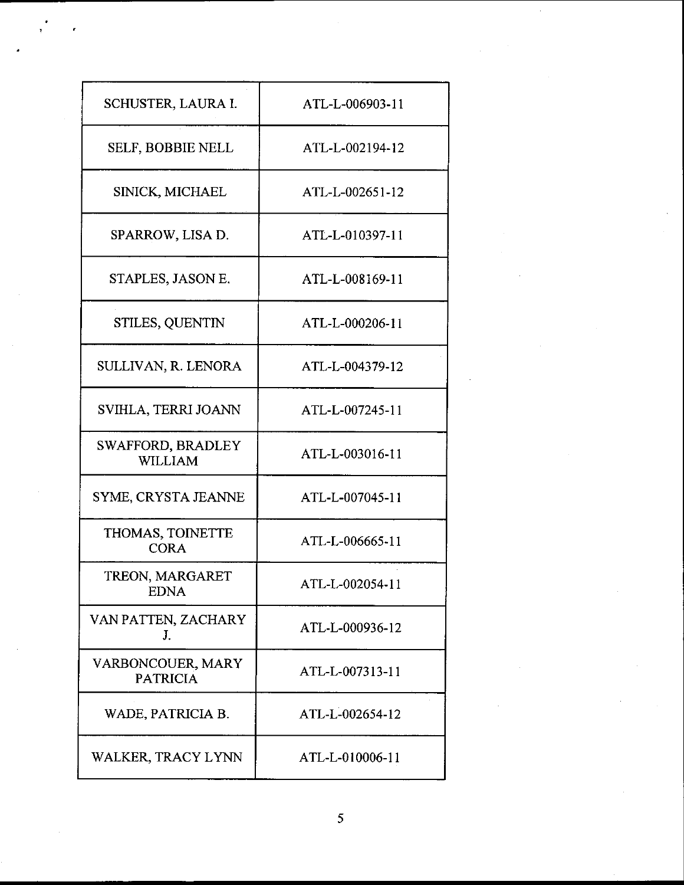| SCHUSTER, LAURA I.                   | ATL-L-006903-11 |
|--------------------------------------|-----------------|
| <b>SELF, BOBBIE NELL</b>             | ATL-L-002194-12 |
| SINICK, MICHAEL                      | ATL-L-002651-12 |
| SPARROW, LISA D.                     | ATL-L-010397-11 |
| STAPLES, JASON E.                    | ATL-L-008169-11 |
| STILES, QUENTIN                      | ATL-L-000206-11 |
| SULLIVAN, R. LENORA                  | ATL-L-004379-12 |
| SVIHLA, TERRI JOANN                  | ATL-L-007245-11 |
| SWAFFORD, BRADLEY<br>WILLIAM         | ATL-L-003016-11 |
| SYME, CRYSTA JEANNE                  | ATL-L-007045-11 |
| THOMAS, TOINETTE<br><b>CORA</b>      | ATL-L-006665-11 |
| TREON, MARGARET<br><b>EDNA</b>       | ATL-L-002054-11 |
| VAN PATTEN, ZACHARY<br>J.            | ATL-L-000936-12 |
| VARBONCOUER, MARY<br><b>PATRICIA</b> | ATL-L-007313-11 |
| WADE, PATRICIA B.                    | ATL-L-002654-12 |
| WALKER, TRACY LYNN                   | ATL-L-010006-11 |